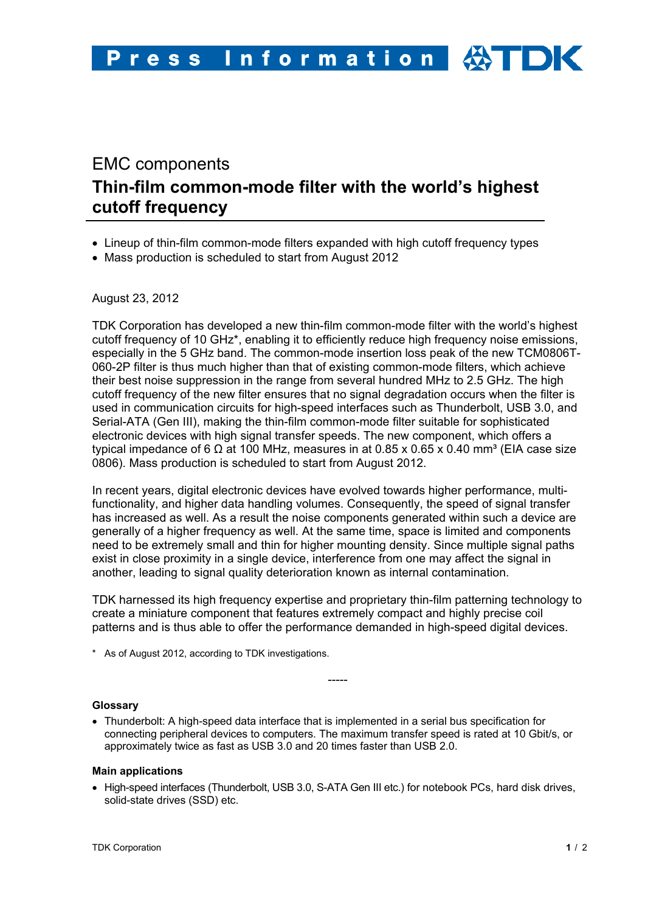# EMC components **Thin-film common-mode filter with the world's highest cutoff frequency**

- Lineup of thin-film common-mode filters expanded with high cutoff frequency types
- Mass production is scheduled to start from August 2012

## August 23, 2012

TDK Corporation has developed a new thin-film common-mode filter with the world's highest cutoff frequency of 10 GHz\*, enabling it to efficiently reduce high frequency noise emissions, especially in the 5 GHz band. The common-mode insertion loss peak of the new TCM0806T-060-2P filter is thus much higher than that of existing common-mode filters, which achieve their best noise suppression in the range from several hundred MHz to 2.5 GHz. The high cutoff frequency of the new filter ensures that no signal degradation occurs when the filter is used in communication circuits for high-speed interfaces such as Thunderbolt, USB 3.0, and Serial-ATA (Gen III), making the thin-film common-mode filter suitable for sophisticated electronic devices with high signal transfer speeds. The new component, which offers a typical impedance of 6 Ω at 100 MHz, measures in at 0.85 x 0.65 x 0.40 mm<sup>3</sup> (EIA case size 0806). Mass production is scheduled to start from August 2012.

In recent years, digital electronic devices have evolved towards higher performance, multifunctionality, and higher data handling volumes. Consequently, the speed of signal transfer has increased as well. As a result the noise components generated within such a device are generally of a higher frequency as well. At the same time, space is limited and components need to be extremely small and thin for higher mounting density. Since multiple signal paths exist in close proximity in a single device, interference from one may affect the signal in another, leading to signal quality deterioration known as internal contamination.

TDK harnessed its high frequency expertise and proprietary thin-film patterning technology to create a miniature component that features extremely compact and highly precise coil patterns and is thus able to offer the performance demanded in high-speed digital devices.

-----

\* As of August 2012, according to TDK investigations.

## **Glossary**

• Thunderbolt: A high-speed data interface that is implemented in a serial bus specification for connecting peripheral devices to computers. The maximum transfer speed is rated at 10 Gbit/s, or approximately twice as fast as USB 3.0 and 20 times faster than USB 2.0.

#### **Main applications**

• High-speed interfaces (Thunderbolt, USB 3.0, S-ATA Gen III etc.) for notebook PCs, hard disk drives, solid-state drives (SSD) etc.